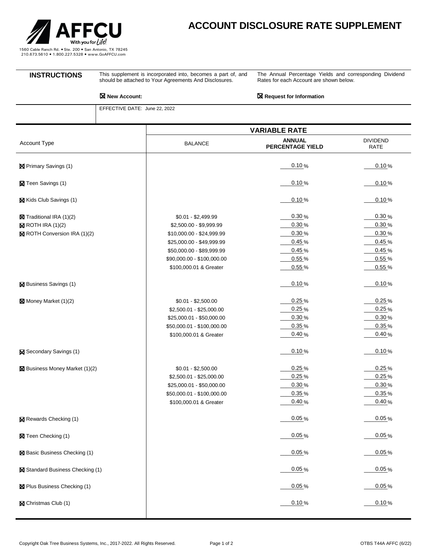

## **ACCOUNT DISCLOSURE RATE SUPPLEMENT**

**INSTRUCTIONS** This supplement is incorporated into, becomes a part of, and should be attached to Your Agreements And Disclosures.

The Annual Percentage Yields and corresponding Dividend Rates for each Account are shown below.

**New Account: Request for Information** 

EFFECTIVE DATE: June 22, 2022

|                                                                                              | <b>VARIABLE RATE</b>                                                                                                                                                                          |                                                             |                                                             |
|----------------------------------------------------------------------------------------------|-----------------------------------------------------------------------------------------------------------------------------------------------------------------------------------------------|-------------------------------------------------------------|-------------------------------------------------------------|
| Account Type                                                                                 | <b>BALANCE</b>                                                                                                                                                                                | <b>ANNUAL</b><br>PERCENTAGE YIELD                           | <b>DIVIDEND</b><br>RATE                                     |
| <b>区</b> Primary Savings (1)                                                                 |                                                                                                                                                                                               | 0.10%                                                       | 0.10%                                                       |
| <b>X</b> Teen Savings (1)                                                                    |                                                                                                                                                                                               | 0.10%                                                       | 0.10%                                                       |
| Kids Club Savings (1)                                                                        |                                                                                                                                                                                               | 0.10%                                                       | 0.10%                                                       |
| Traditional IRA (1)(2)<br>$\boxtimes$ ROTH IRA (1)(2)<br><b>X</b> ROTH Conversion IRA (1)(2) | $$0.01 - $2,499.99$<br>\$2,500.00 - \$9,999.99<br>\$10,000.00 - \$24,999.99<br>\$25,000.00 - \$49,999.99<br>\$50,000.00 - \$89,999.99<br>\$90,000.00 - \$100,000.00<br>\$100,000.01 & Greater | 0.30%<br>0.30%<br>0.30%<br>0.45%<br>0.45%<br>0.55%<br>0.55% | 0.30%<br>0.30%<br>0.30%<br>0.45%<br>0.45%<br>0.55%<br>0.55% |
| <b>X</b> Business Savings (1)                                                                |                                                                                                                                                                                               | 0.10%                                                       | 0.10%                                                       |
| Money Market (1)(2)                                                                          | $$0.01 - $2,500.00$<br>\$2,500.01 - \$25,000.00<br>\$25,000.01 - \$50,000.00<br>\$50,000.01 - \$100,000.00<br>\$100,000.01 & Greater                                                          | 0.25%<br>0.25%<br>0.30%<br>0.35%<br>0.40%                   | 0.25%<br>0.25%<br>0.30%<br>0.35%<br>0.40%                   |
| Secondary Savings (1)                                                                        |                                                                                                                                                                                               | 0.10%                                                       | 0.10%                                                       |
| <b>X</b> Business Money Market (1)(2)                                                        | $$0.01 - $2,500.00$<br>\$2,500.01 - \$25,000.00<br>\$25,000.01 - \$50,000.00<br>\$50,000.01 - \$100,000.00<br>\$100,000.01 & Greater                                                          | 0.25%<br>0.25%<br>0.30%<br>0.35%<br>0.40%                   | 0.25%<br>0.25%<br>0.30%<br>0.35%<br>0.40%                   |
| <b>X</b> Rewards Checking (1)                                                                |                                                                                                                                                                                               | 0.05%                                                       | 0.05%                                                       |
| 冈 Teen Checking (1)                                                                          |                                                                                                                                                                                               | 0.05%                                                       | 0.05%                                                       |
| ⊠ Basic Business Checking (1)                                                                |                                                                                                                                                                                               | 0.05%                                                       | 0.05%                                                       |
| X Standard Business Checking (1)                                                             |                                                                                                                                                                                               | 0.05%                                                       | 0.05%                                                       |
| ⊠ Plus Business Checking (1)                                                                 |                                                                                                                                                                                               | 0.05%                                                       | 0.05%                                                       |
| Christmas Club (1)                                                                           |                                                                                                                                                                                               | 0.10%                                                       | 0.10%                                                       |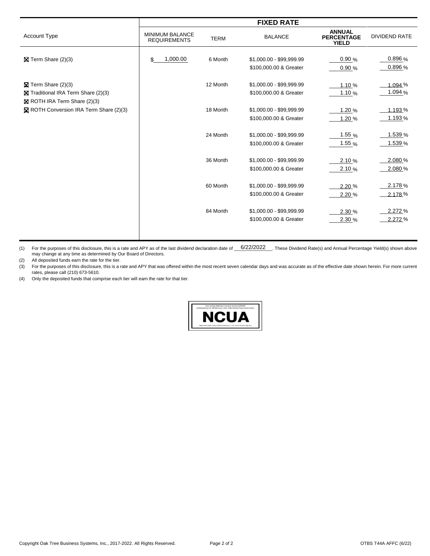|                                        |                                               |             | <b>FIXED RATE</b>        |                                                    |                      |
|----------------------------------------|-----------------------------------------------|-------------|--------------------------|----------------------------------------------------|----------------------|
| <b>Account Type</b>                    | <b>MINIMUM BALANCE</b><br><b>REQUIREMENTS</b> | <b>TERM</b> | <b>BALANCE</b>           | <b>ANNUAL</b><br><b>PERCENTAGE</b><br><b>YIELD</b> | <b>DIVIDEND RATE</b> |
|                                        |                                               |             |                          |                                                    |                      |
| $\boxtimes$ Term Share (2)(3)          | 1,000.00<br>\$                                | 6 Month     | \$1,000.00 - \$99,999.99 | 0.90%                                              | $0.896\%$            |
|                                        |                                               |             | \$100,000.00 & Greater   | 0.90%                                              | $0.896\%$            |
| $\boxtimes$ Term Share (2)(3)          |                                               | 12 Month    | \$1,000.00 - \$99,999.99 | 1.10 %                                             | 1.094 %              |
| Traditional IRA Term Share (2)(3)      |                                               |             | \$100,000.00 & Greater   | 1.10 $%$                                           | 1.094 %              |
| $\boxtimes$ ROTH IRA Term Share (2)(3) |                                               |             |                          |                                                    |                      |
| ROTH Conversion IRA Term Share (2)(3)  |                                               | 18 Month    | \$1,000.00 - \$99,999.99 | 1.20 %                                             | 1.193%               |
|                                        |                                               |             | \$100,000.00 & Greater   | 1.20%                                              | 1.193%               |
|                                        |                                               |             |                          |                                                    |                      |
|                                        |                                               | 24 Month    | \$1,000.00 - \$99,999.99 | $1.55\%$                                           | 1.539 %              |
|                                        |                                               |             | \$100,000.00 & Greater   | 1.55 $%$                                           | 1.539 %              |
|                                        |                                               |             |                          |                                                    |                      |
|                                        |                                               | 36 Month    | \$1,000.00 - \$99,999.99 | 2.10%                                              | 2.080 %              |
|                                        |                                               |             | \$100,000.00 & Greater   | 2.10%                                              | 2.080%               |
|                                        |                                               | 60 Month    | \$1,000.00 - \$99,999.99 | 2.20 %                                             | 2.178%               |
|                                        |                                               |             | \$100,000.00 & Greater   | 2.20%                                              | $-2.178%$            |
|                                        |                                               |             |                          |                                                    |                      |
|                                        |                                               | 84 Month    | \$1,000.00 - \$99,999.99 | 2.30 %                                             | 2.272 %              |
|                                        |                                               |             | \$100,000.00 & Greater   | 2.30 %                                             | 2.272 %              |
|                                        |                                               |             |                          |                                                    |                      |

(1) For the purposes of this disclosure, this is a rate and APY as of the last dividend declaration date of  $6/22/2022$  These Dividend Rate(s) and Annual Percentage Yield(s) shown above may change at any time as determined by Our Board of Directors.

(2) All deposited funds earn the rate for the tier.

(3) For the purposes of this disclosure, this is a rate and APY that was offered within the most recent seven calendar days and was accurate as of the effective date shown herein. For more current rates, please call (210) 673-5610.

(4) Only the deposited funds that comprise each tier will earn the rate for that tier.